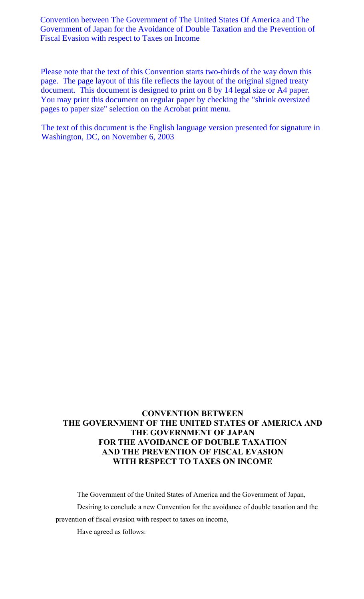Convention between The Government of The United States Of America and The Government of Japan for the Avoidance of Double Taxation and the Prevention of Fiscal Evasion with respect to Taxes on Income

Please note that the text of this Convention starts two-thirds of the way down this page. The page layout of this file reflects the layout of the original signed treaty document. This document is designed to print on 8 by 14 legal size or A4 paper. You may print this document on regular paper by checking the "shrink oversized pages to paper size" selection on the Acrobat print menu.

The text of this document is the English language version presented for signature in Washington, DC, on November 6, 2003

# **CONVENTION BETWEEN THE GOVERNMENT OF THE UNITED STATES OF AMERICA AND THE GOVERNMENT OF JAPAN FOR THE AVOIDANCE OF DOUBLE TAXATION AND THE PREVENTION OF FISCAL EVASION WITH RESPECT TO TAXES ON INCOME**

The Government of the United States of America and the Government of Japan, Desiring to conclude a new Convention for the avoidance of double taxation and the prevention of fiscal evasion with respect to taxes on income,

Have agreed as follows: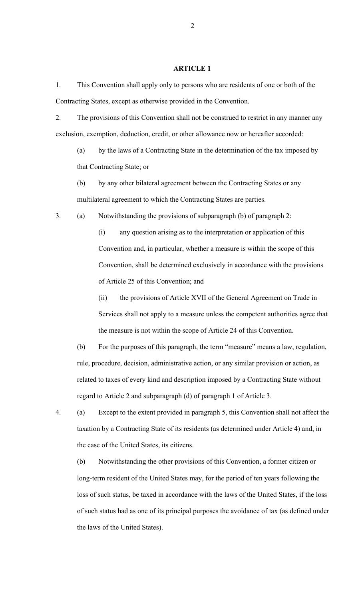### **ARTICLE 1**

1. This Convention shall apply only to persons who are residents of one or both of the Contracting States, except as otherwise provided in the Convention.

2. The provisions of this Convention shall not be construed to restrict in any manner any exclusion, exemption, deduction, credit, or other allowance now or hereafter accorded:

(a) by the laws of a Contracting State in the determination of the tax imposed by that Contracting State; or

(b) by any other bilateral agreement between the Contracting States or any multilateral agreement to which the Contracting States are parties.

3. (a) Notwithstanding the provisions of subparagraph (b) of paragraph 2:

(i) any question arising as to the interpretation or application of this Convention and, in particular, whether a measure is within the scope of this Convention, shall be determined exclusively in accordance with the provisions of Article 25 of this Convention; and

(ii) the provisions of Article XVII of the General Agreement on Trade in Services shall not apply to a measure unless the competent authorities agree that the measure is not within the scope of Article 24 of this Convention.

(b) For the purposes of this paragraph, the term "measure" means a law, regulation, rule, procedure, decision, administrative action, or any similar provision or action, as related to taxes of every kind and description imposed by a Contracting State without regard to Article 2 and subparagraph (d) of paragraph 1 of Article 3.

4. (a) Except to the extent provided in paragraph 5, this Convention shall not affect the taxation by a Contracting State of its residents (as determined under Article 4) and, in the case of the United States, its citizens.

(b) Notwithstanding the other provisions of this Convention, a former citizen or long-term resident of the United States may, for the period of ten years following the loss of such status, be taxed in accordance with the laws of the United States, if the loss of such status had as one of its principal purposes the avoidance of tax (as defined under the laws of the United States).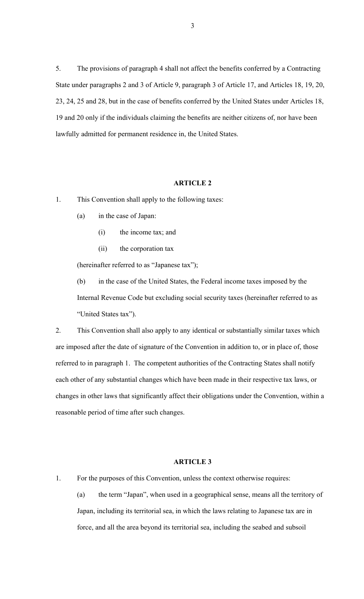5. The provisions of paragraph 4 shall not affect the benefits conferred by a Contracting State under paragraphs 2 and 3 of Article 9, paragraph 3 of Article 17, and Articles 18, 19, 20, 23, 24, 25 and 28, but in the case of benefits conferred by the United States under Articles 18, 19 and 20 only if the individuals claiming the benefits are neither citizens of, nor have been lawfully admitted for permanent residence in, the United States.

### **ARTICLE 2**

1. This Convention shall apply to the following taxes:

- (a) in the case of Japan:
	- (i) the income tax; and
	- (ii) the corporation tax

(hereinafter referred to as "Japanese tax");

(b) in the case of the United States, the Federal income taxes imposed by the Internal Revenue Code but excluding social security taxes (hereinafter referred to as "United States tax").

2. This Convention shall also apply to any identical or substantially similar taxes which are imposed after the date of signature of the Convention in addition to, or in place of, those referred to in paragraph 1. The competent authorities of the Contracting States shall notify each other of any substantial changes which have been made in their respective tax laws, or changes in other laws that significantly affect their obligations under the Convention, within a reasonable period of time after such changes.

### **ARTICLE 3**

- 1. For the purposes of this Convention, unless the context otherwise requires:
	- (a) the term "Japan", when used in a geographical sense, means all the territory of Japan, including its territorial sea, in which the laws relating to Japanese tax are in force, and all the area beyond its territorial sea, including the seabed and subsoil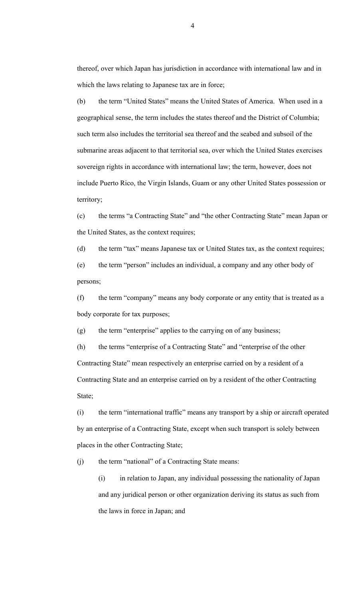thereof, over which Japan has jurisdiction in accordance with international law and in which the laws relating to Japanese tax are in force;

(b) the term "United States" means the United States of America. When used in a geographical sense, the term includes the states thereof and the District of Columbia; such term also includes the territorial sea thereof and the seabed and subsoil of the submarine areas adjacent to that territorial sea, over which the United States exercises sovereign rights in accordance with international law; the term, however, does not include Puerto Rico, the Virgin Islands, Guam or any other United States possession or territory;

(c) the terms "a Contracting State" and "the other Contracting State" mean Japan or the United States, as the context requires;

(d) the term "tax" means Japanese tax or United States tax, as the context requires;

(e) the term "person" includes an individual, a company and any other body of persons;

(f) the term "company" means any body corporate or any entity that is treated as a body corporate for tax purposes;

(g) the term "enterprise" applies to the carrying on of any business;

(h) the terms "enterprise of a Contracting State" and "enterprise of the other Contracting State" mean respectively an enterprise carried on by a resident of a Contracting State and an enterprise carried on by a resident of the other Contracting State;

(i) the term "international traffic" means any transport by a ship or aircraft operated by an enterprise of a Contracting State, except when such transport is solely between places in the other Contracting State;

(j) the term "national" of a Contracting State means:

(i) in relation to Japan, any individual possessing the nationality of Japan and any juridical person or other organization deriving its status as such from the laws in force in Japan; and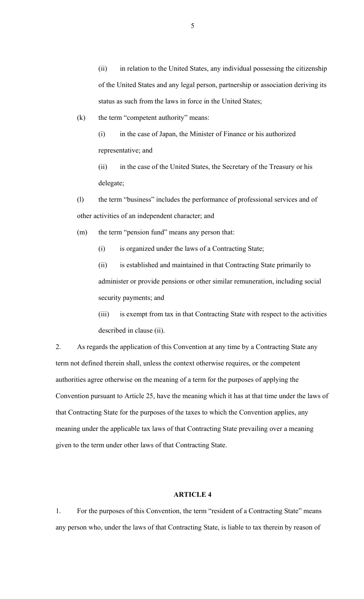(ii) in relation to the United States, any individual possessing the citizenship of the United States and any legal person, partnership or association deriving its status as such from the laws in force in the United States;

(k) the term "competent authority" means:

(i) in the case of Japan, the Minister of Finance or his authorized representative; and

(ii) in the case of the United States, the Secretary of the Treasury or his delegate;

(l) the term "business" includes the performance of professional services and of other activities of an independent character; and

(m) the term "pension fund" means any person that:

(i) is organized under the laws of a Contracting State;

(ii) is established and maintained in that Contracting State primarily to administer or provide pensions or other similar remuneration, including social security payments; and

(iii) is exempt from tax in that Contracting State with respect to the activities described in clause (ii).

2. As regards the application of this Convention at any time by a Contracting State any term not defined therein shall, unless the context otherwise requires, or the competent authorities agree otherwise on the meaning of a term for the purposes of applying the Convention pursuant to Article 25, have the meaning which it has at that time under the laws of that Contracting State for the purposes of the taxes to which the Convention applies, any meaning under the applicable tax laws of that Contracting State prevailing over a meaning given to the term under other laws of that Contracting State.

#### **ARTICLE 4**

1. For the purposes of this Convention, the term "resident of a Contracting State" means any person who, under the laws of that Contracting State, is liable to tax therein by reason of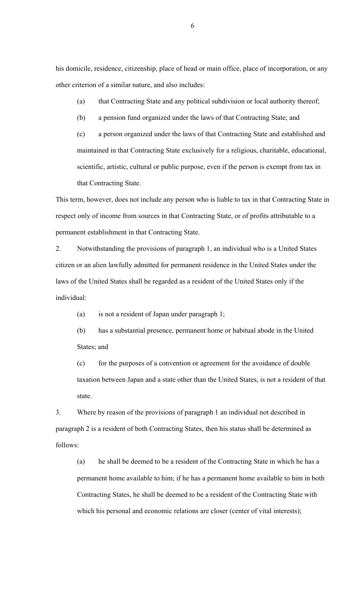his domicile, residence, citizenship, place of head or main office, place of incorporation, or any other criterion of a similar nature, and also includes:

- (a) that Contracting State and any political subdivision or local authority thereof;
- (b) a pension fund organized under the laws of that Contracting State; and

(c) a person organized under the laws of that Contracting State and established and maintained in that Contracting State exclusively for a religious, charitable, educational, scientific, artistic, cultural or public purpose, even if the person is exempt from tax in that Contracting State.

This term, however, does not include any person who is liable to tax in that Contracting State in respect only of income from sources in that Contracting State, or of profits attributable to a permanent establishment in that Contracting State.

2. Notwithstanding the provisions of paragraph 1, an individual who is a United States citizen or an alien lawfully admitted for permanent residence in the United States under the laws of the United States shall be regarded as a resident of the United States only if the individual:

- (a) is not a resident of Japan under paragraph 1;
- (b) has a substantial presence, permanent home or habitual abode in the United States; and

(c) for the purposes of a convention or agreement for the avoidance of double taxation between Japan and a state other than the United States, is not a resident of that state.

3. Where by reason of the provisions of paragraph 1 an individual not described in paragraph 2 is a resident of both Contracting States, then his status shall be determined as follows:

(a) he shall be deemed to be a resident of the Contracting State in which he has a permanent home available to him; if he has a permanent home available to him in both Contracting States, he shall be deemed to be a resident of the Contracting State with which his personal and economic relations are closer (center of vital interests);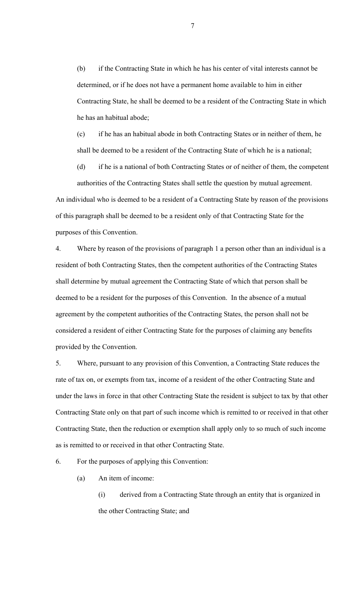(b) if the Contracting State in which he has his center of vital interests cannot be determined, or if he does not have a permanent home available to him in either Contracting State, he shall be deemed to be a resident of the Contracting State in which he has an habitual abode;

(c) if he has an habitual abode in both Contracting States or in neither of them, he shall be deemed to be a resident of the Contracting State of which he is a national;

(d) if he is a national of both Contracting States or of neither of them, the competent authorities of the Contracting States shall settle the question by mutual agreement.

An individual who is deemed to be a resident of a Contracting State by reason of the provisions of this paragraph shall be deemed to be a resident only of that Contracting State for the purposes of this Convention.

4. Where by reason of the provisions of paragraph 1 a person other than an individual is a resident of both Contracting States, then the competent authorities of the Contracting States shall determine by mutual agreement the Contracting State of which that person shall be deemed to be a resident for the purposes of this Convention. In the absence of a mutual agreement by the competent authorities of the Contracting States, the person shall not be considered a resident of either Contracting State for the purposes of claiming any benefits provided by the Convention.

5. Where, pursuant to any provision of this Convention, a Contracting State reduces the rate of tax on, or exempts from tax, income of a resident of the other Contracting State and under the laws in force in that other Contracting State the resident is subject to tax by that other Contracting State only on that part of such income which is remitted to or received in that other Contracting State, then the reduction or exemption shall apply only to so much of such income as is remitted to or received in that other Contracting State.

6. For the purposes of applying this Convention:

(a) An item of income:

(i) derived from a Contracting State through an entity that is organized in the other Contracting State; and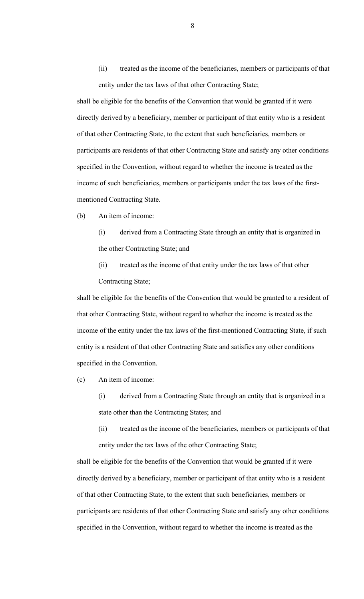(ii) treated as the income of the beneficiaries, members or participants of that entity under the tax laws of that other Contracting State;

shall be eligible for the benefits of the Convention that would be granted if it were directly derived by a beneficiary, member or participant of that entity who is a resident of that other Contracting State, to the extent that such beneficiaries, members or participants are residents of that other Contracting State and satisfy any other conditions specified in the Convention, without regard to whether the income is treated as the income of such beneficiaries, members or participants under the tax laws of the firstmentioned Contracting State.

- (b) An item of income:
	- (i) derived from a Contracting State through an entity that is organized in the other Contracting State; and
	- (ii) treated as the income of that entity under the tax laws of that other Contracting State;

shall be eligible for the benefits of the Convention that would be granted to a resident of that other Contracting State, without regard to whether the income is treated as the income of the entity under the tax laws of the first-mentioned Contracting State, if such entity is a resident of that other Contracting State and satisfies any other conditions specified in the Convention.

- (c) An item of income:
	- (i) derived from a Contracting State through an entity that is organized in a state other than the Contracting States; and
	- (ii) treated as the income of the beneficiaries, members or participants of that entity under the tax laws of the other Contracting State;

shall be eligible for the benefits of the Convention that would be granted if it were directly derived by a beneficiary, member or participant of that entity who is a resident of that other Contracting State, to the extent that such beneficiaries, members or participants are residents of that other Contracting State and satisfy any other conditions specified in the Convention, without regard to whether the income is treated as the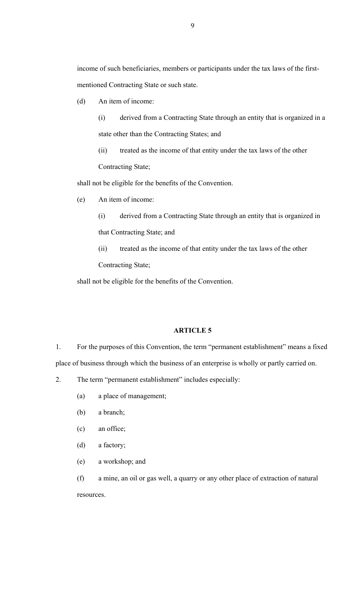income of such beneficiaries, members or participants under the tax laws of the firstmentioned Contracting State or such state.

(d) An item of income:

(i) derived from a Contracting State through an entity that is organized in a state other than the Contracting States; and

(ii) treated as the income of that entity under the tax laws of the other Contracting State;

shall not be eligible for the benefits of the Convention.

(e) An item of income:

(i) derived from a Contracting State through an entity that is organized in that Contracting State; and

(ii) treated as the income of that entity under the tax laws of the other Contracting State;

shall not be eligible for the benefits of the Convention.

## **ARTICLE 5**

1. For the purposes of this Convention, the term "permanent establishment" means a fixed place of business through which the business of an enterprise is wholly or partly carried on.

2. The term "permanent establishment" includes especially:

- (a) a place of management;
- (b) a branch;
- (c) an office;
- (d) a factory;
- (e) a workshop; and

(f) a mine, an oil or gas well, a quarry or any other place of extraction of natural resources.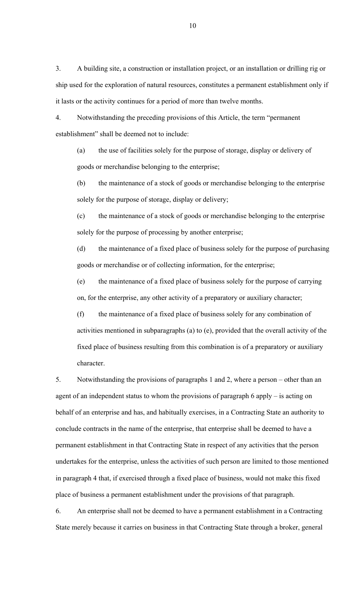3. A building site, a construction or installation project, or an installation or drilling rig or ship used for the exploration of natural resources, constitutes a permanent establishment only if it lasts or the activity continues for a period of more than twelve months.

4. Notwithstanding the preceding provisions of this Article, the term "permanent establishment" shall be deemed not to include:

(a) the use of facilities solely for the purpose of storage, display or delivery of goods or merchandise belonging to the enterprise;

(b) the maintenance of a stock of goods or merchandise belonging to the enterprise solely for the purpose of storage, display or delivery;

(c) the maintenance of a stock of goods or merchandise belonging to the enterprise solely for the purpose of processing by another enterprise;

(d) the maintenance of a fixed place of business solely for the purpose of purchasing goods or merchandise or of collecting information, for the enterprise;

(e) the maintenance of a fixed place of business solely for the purpose of carrying on, for the enterprise, any other activity of a preparatory or auxiliary character;

(f) the maintenance of a fixed place of business solely for any combination of activities mentioned in subparagraphs (a) to (e), provided that the overall activity of the fixed place of business resulting from this combination is of a preparatory or auxiliary character.

5. Notwithstanding the provisions of paragraphs 1 and 2, where a person – other than an agent of an independent status to whom the provisions of paragraph 6 apply – is acting on behalf of an enterprise and has, and habitually exercises, in a Contracting State an authority to conclude contracts in the name of the enterprise, that enterprise shall be deemed to have a permanent establishment in that Contracting State in respect of any activities that the person undertakes for the enterprise, unless the activities of such person are limited to those mentioned in paragraph 4 that, if exercised through a fixed place of business, would not make this fixed place of business a permanent establishment under the provisions of that paragraph.

6. An enterprise shall not be deemed to have a permanent establishment in a Contracting State merely because it carries on business in that Contracting State through a broker, general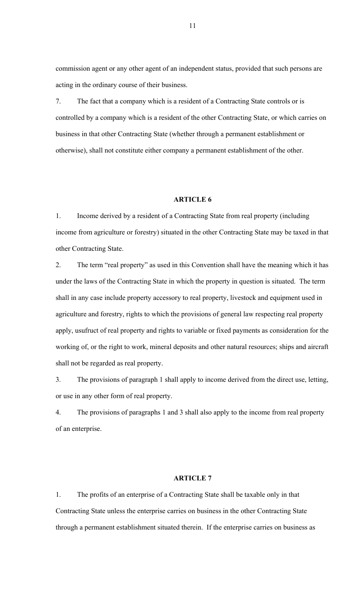commission agent or any other agent of an independent status, provided that such persons are acting in the ordinary course of their business.

7. The fact that a company which is a resident of a Contracting State controls or is controlled by a company which is a resident of the other Contracting State, or which carries on business in that other Contracting State (whether through a permanent establishment or otherwise), shall not constitute either company a permanent establishment of the other.

## **ARTICLE 6**

1. Income derived by a resident of a Contracting State from real property (including income from agriculture or forestry) situated in the other Contracting State may be taxed in that other Contracting State.

2. The term "real property" as used in this Convention shall have the meaning which it has under the laws of the Contracting State in which the property in question is situated. The term shall in any case include property accessory to real property, livestock and equipment used in agriculture and forestry, rights to which the provisions of general law respecting real property apply, usufruct of real property and rights to variable or fixed payments as consideration for the working of, or the right to work, mineral deposits and other natural resources; ships and aircraft shall not be regarded as real property.

3. The provisions of paragraph 1 shall apply to income derived from the direct use, letting, or use in any other form of real property.

4. The provisions of paragraphs 1 and 3 shall also apply to the income from real property of an enterprise.

### **ARTICLE 7**

1. The profits of an enterprise of a Contracting State shall be taxable only in that Contracting State unless the enterprise carries on business in the other Contracting State through a permanent establishment situated therein. If the enterprise carries on business as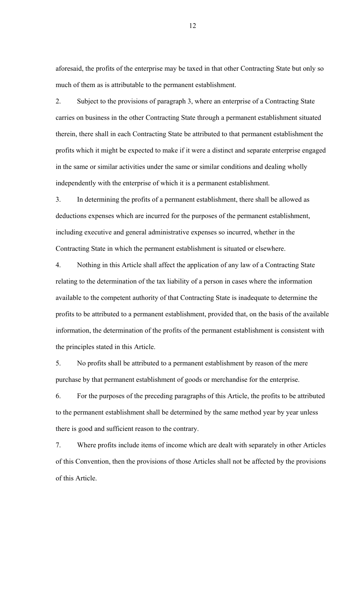aforesaid, the profits of the enterprise may be taxed in that other Contracting State but only so much of them as is attributable to the permanent establishment.

2. Subject to the provisions of paragraph 3, where an enterprise of a Contracting State carries on business in the other Contracting State through a permanent establishment situated therein, there shall in each Contracting State be attributed to that permanent establishment the profits which it might be expected to make if it were a distinct and separate enterprise engaged in the same or similar activities under the same or similar conditions and dealing wholly independently with the enterprise of which it is a permanent establishment.

3. In determining the profits of a permanent establishment, there shall be allowed as deductions expenses which are incurred for the purposes of the permanent establishment, including executive and general administrative expenses so incurred, whether in the Contracting State in which the permanent establishment is situated or elsewhere.

4. Nothing in this Article shall affect the application of any law of a Contracting State relating to the determination of the tax liability of a person in cases where the information available to the competent authority of that Contracting State is inadequate to determine the profits to be attributed to a permanent establishment, provided that, on the basis of the available information, the determination of the profits of the permanent establishment is consistent with the principles stated in this Article.

5. No profits shall be attributed to a permanent establishment by reason of the mere purchase by that permanent establishment of goods or merchandise for the enterprise.

6. For the purposes of the preceding paragraphs of this Article, the profits to be attributed to the permanent establishment shall be determined by the same method year by year unless there is good and sufficient reason to the contrary.

7. Where profits include items of income which are dealt with separately in other Articles of this Convention, then the provisions of those Articles shall not be affected by the provisions of this Article.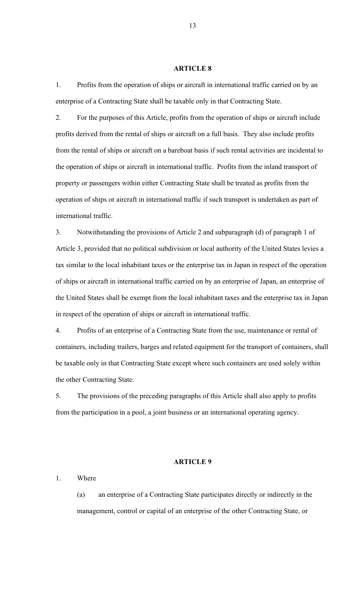### **ARTICLE 8**

1. Profits from the operation of ships or aircraft in international traffic carried on by an enterprise of a Contracting State shall be taxable only in that Contracting State.

2. For the purposes of this Article, profits from the operation of ships or aircraft include profits derived from the rental of ships or aircraft on a full basis. They also include profits from the rental of ships or aircraft on a bareboat basis if such rental activities are incidental to the operation of ships or aircraft in international traffic. Profits from the inland transport of property or passengers within either Contracting State shall be treated as profits from the operation of ships or aircraft in international traffic if such transport is undertaken as part of international traffic.

3. Notwithstanding the provisions of Article 2 and subparagraph (d) of paragraph 1 of Article 3, provided that no political subdivision or local authority of the United States levies a tax similar to the local inhabitant taxes or the enterprise tax in Japan in respect of the operation of ships or aircraft in international traffic carried on by an enterprise of Japan, an enterprise of the United States shall be exempt from the local inhabitant taxes and the enterprise tax in Japan in respect of the operation of ships or aircraft in international traffic.

4. Profits of an enterprise of a Contracting State from the use, maintenance or rental of containers, including trailers, barges and related equipment for the transport of containers, shall be taxable only in that Contracting State except where such containers are used solely within the other Contracting State.

5. The provisions of the preceding paragraphs of this Article shall also apply to profits from the participation in a pool, a joint business or an international operating agency.

### **ARTICLE 9**

### 1. Where

(a) an enterprise of a Contracting State participates directly or indirectly in the management, control or capital of an enterprise of the other Contracting State, or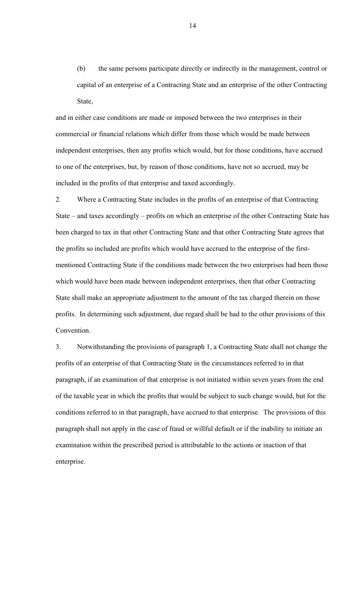(b) the same persons participate directly or indirectly in the management, control or capital of an enterprise of a Contracting State and an enterprise of the other Contracting State,

and in either case conditions are made or imposed between the two enterprises in their commercial or financial relations which differ from those which would be made between independent enterprises, then any profits which would, but for those conditions, have accrued to one of the enterprises, but, by reason of those conditions, have not so accrued, may be included in the profits of that enterprise and taxed accordingly.

2. Where a Contracting State includes in the profits of an enterprise of that Contracting State – and taxes accordingly – profits on which an enterprise of the other Contracting State has been charged to tax in that other Contracting State and that other Contracting State agrees that the profits so included are profits which would have accrued to the enterprise of the firstmentioned Contracting State if the conditions made between the two enterprises had been those which would have been made between independent enterprises, then that other Contracting State shall make an appropriate adjustment to the amount of the tax charged therein on those profits. In determining such adjustment, due regard shall be had to the other provisions of this Convention.

3. Notwithstanding the provisions of paragraph 1, a Contracting State shall not change the profits of an enterprise of that Contracting State in the circumstances referred to in that paragraph, if an examination of that enterprise is not initiated within seven years from the end of the taxable year in which the profits that would be subject to such change would, but for the conditions referred to in that paragraph, have accrued to that enterprise. The provisions of this paragraph shall not apply in the case of fraud or willful default or if the inability to initiate an examination within the prescribed period is attributable to the actions or inaction of that enterprise.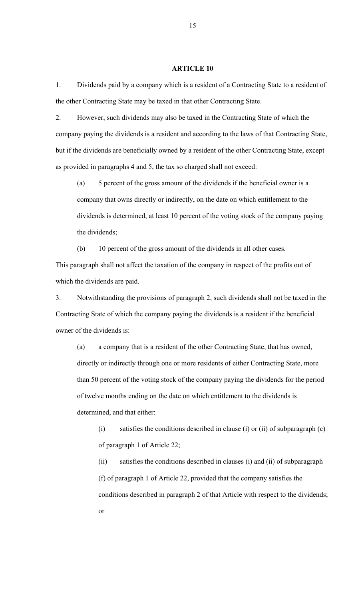### **ARTICLE 10**

1. Dividends paid by a company which is a resident of a Contracting State to a resident of the other Contracting State may be taxed in that other Contracting State.

2. However, such dividends may also be taxed in the Contracting State of which the company paying the dividends is a resident and according to the laws of that Contracting State, but if the dividends are beneficially owned by a resident of the other Contracting State, except as provided in paragraphs 4 and 5, the tax so charged shall not exceed:

(a) 5 percent of the gross amount of the dividends if the beneficial owner is a company that owns directly or indirectly, on the date on which entitlement to the dividends is determined, at least 10 percent of the voting stock of the company paying the dividends;

(b) 10 percent of the gross amount of the dividends in all other cases.

This paragraph shall not affect the taxation of the company in respect of the profits out of which the dividends are paid.

3. Notwithstanding the provisions of paragraph 2, such dividends shall not be taxed in the Contracting State of which the company paying the dividends is a resident if the beneficial owner of the dividends is:

(a) a company that is a resident of the other Contracting State, that has owned, directly or indirectly through one or more residents of either Contracting State, more than 50 percent of the voting stock of the company paying the dividends for the period of twelve months ending on the date on which entitlement to the dividends is determined, and that either:

(i) satisfies the conditions described in clause (i) or (ii) of subparagraph (c) of paragraph 1 of Article 22;

(ii) satisfies the conditions described in clauses (i) and (ii) of subparagraph (f) of paragraph 1 of Article 22, provided that the company satisfies the conditions described in paragraph 2 of that Article with respect to the dividends; or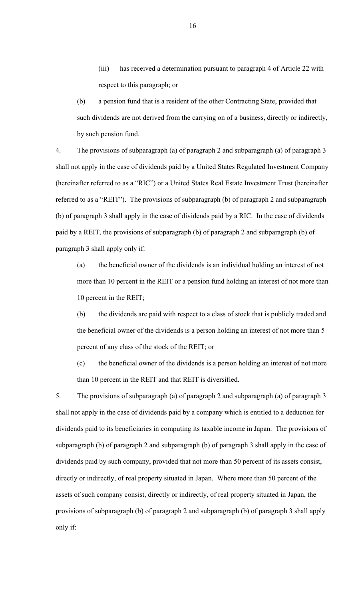(iii) has received a determination pursuant to paragraph 4 of Article 22 with respect to this paragraph; or

(b) a pension fund that is a resident of the other Contracting State, provided that such dividends are not derived from the carrying on of a business, directly or indirectly, by such pension fund.

4. The provisions of subparagraph (a) of paragraph 2 and subparagraph (a) of paragraph 3 shall not apply in the case of dividends paid by a United States Regulated Investment Company (hereinafter referred to as a "RIC") or a United States Real Estate Investment Trust (hereinafter referred to as a "REIT"). The provisions of subparagraph (b) of paragraph 2 and subparagraph (b) of paragraph 3 shall apply in the case of dividends paid by a RIC. In the case of dividends paid by a REIT, the provisions of subparagraph (b) of paragraph 2 and subparagraph (b) of paragraph 3 shall apply only if:

(a) the beneficial owner of the dividends is an individual holding an interest of not more than 10 percent in the REIT or a pension fund holding an interest of not more than 10 percent in the REIT;

(b) the dividends are paid with respect to a class of stock that is publicly traded and the beneficial owner of the dividends is a person holding an interest of not more than 5 percent of any class of the stock of the REIT; or

(c) the beneficial owner of the dividends is a person holding an interest of not more than 10 percent in the REIT and that REIT is diversified.

5. The provisions of subparagraph (a) of paragraph 2 and subparagraph (a) of paragraph 3 shall not apply in the case of dividends paid by a company which is entitled to a deduction for dividends paid to its beneficiaries in computing its taxable income in Japan. The provisions of subparagraph (b) of paragraph 2 and subparagraph (b) of paragraph 3 shall apply in the case of dividends paid by such company, provided that not more than 50 percent of its assets consist, directly or indirectly, of real property situated in Japan. Where more than 50 percent of the assets of such company consist, directly or indirectly, of real property situated in Japan, the provisions of subparagraph (b) of paragraph 2 and subparagraph (b) of paragraph 3 shall apply only if: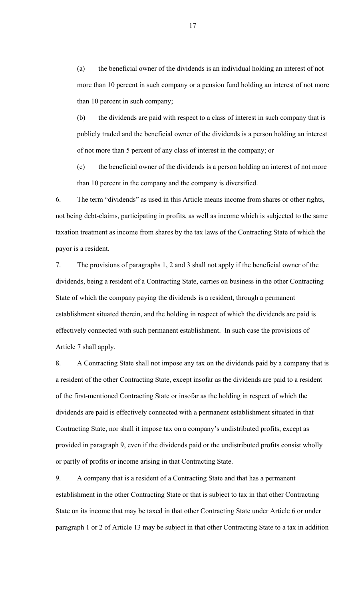(a) the beneficial owner of the dividends is an individual holding an interest of not more than 10 percent in such company or a pension fund holding an interest of not more than 10 percent in such company;

(b) the dividends are paid with respect to a class of interest in such company that is publicly traded and the beneficial owner of the dividends is a person holding an interest of not more than 5 percent of any class of interest in the company; or

(c) the beneficial owner of the dividends is a person holding an interest of not more than 10 percent in the company and the company is diversified.

6. The term "dividends" as used in this Article means income from shares or other rights, not being debt-claims, participating in profits, as well as income which is subjected to the same taxation treatment as income from shares by the tax laws of the Contracting State of which the payor is a resident.

7. The provisions of paragraphs 1, 2 and 3 shall not apply if the beneficial owner of the dividends, being a resident of a Contracting State, carries on business in the other Contracting State of which the company paying the dividends is a resident, through a permanent establishment situated therein, and the holding in respect of which the dividends are paid is effectively connected with such permanent establishment. In such case the provisions of Article 7 shall apply.

8. A Contracting State shall not impose any tax on the dividends paid by a company that is a resident of the other Contracting State, except insofar as the dividends are paid to a resident of the first-mentioned Contracting State or insofar as the holding in respect of which the dividends are paid is effectively connected with a permanent establishment situated in that Contracting State, nor shall it impose tax on a company's undistributed profits, except as provided in paragraph 9, even if the dividends paid or the undistributed profits consist wholly or partly of profits or income arising in that Contracting State.

9. A company that is a resident of a Contracting State and that has a permanent establishment in the other Contracting State or that is subject to tax in that other Contracting State on its income that may be taxed in that other Contracting State under Article 6 or under paragraph 1 or 2 of Article 13 may be subject in that other Contracting State to a tax in addition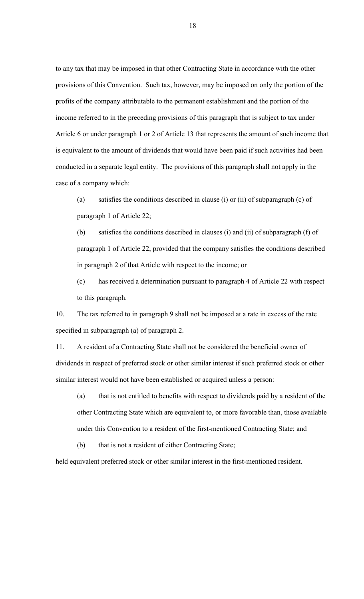to any tax that may be imposed in that other Contracting State in accordance with the other provisions of this Convention. Such tax, however, may be imposed on only the portion of the profits of the company attributable to the permanent establishment and the portion of the income referred to in the preceding provisions of this paragraph that is subject to tax under Article 6 or under paragraph 1 or 2 of Article 13 that represents the amount of such income that is equivalent to the amount of dividends that would have been paid if such activities had been conducted in a separate legal entity. The provisions of this paragraph shall not apply in the case of a company which:

(a) satisfies the conditions described in clause (i) or (ii) of subparagraph (c) of paragraph 1 of Article 22;

(b) satisfies the conditions described in clauses (i) and (ii) of subparagraph (f) of paragraph 1 of Article 22, provided that the company satisfies the conditions described in paragraph 2 of that Article with respect to the income; or

(c) has received a determination pursuant to paragraph 4 of Article 22 with respect to this paragraph.

10. The tax referred to in paragraph 9 shall not be imposed at a rate in excess of the rate specified in subparagraph (a) of paragraph 2.

11. A resident of a Contracting State shall not be considered the beneficial owner of dividends in respect of preferred stock or other similar interest if such preferred stock or other similar interest would not have been established or acquired unless a person:

(a) that is not entitled to benefits with respect to dividends paid by a resident of the other Contracting State which are equivalent to, or more favorable than, those available under this Convention to a resident of the first-mentioned Contracting State; and

(b) that is not a resident of either Contracting State;

held equivalent preferred stock or other similar interest in the first-mentioned resident.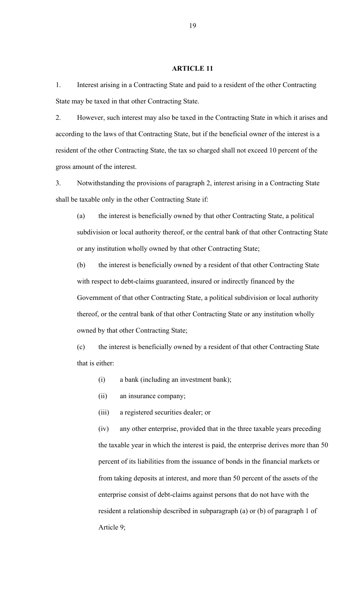### **ARTICLE 11**

1. Interest arising in a Contracting State and paid to a resident of the other Contracting State may be taxed in that other Contracting State.

2. However, such interest may also be taxed in the Contracting State in which it arises and according to the laws of that Contracting State, but if the beneficial owner of the interest is a resident of the other Contracting State, the tax so charged shall not exceed 10 percent of the gross amount of the interest.

3. Notwithstanding the provisions of paragraph 2, interest arising in a Contracting State shall be taxable only in the other Contracting State if:

(a) the interest is beneficially owned by that other Contracting State, a political subdivision or local authority thereof, or the central bank of that other Contracting State or any institution wholly owned by that other Contracting State;

(b) the interest is beneficially owned by a resident of that other Contracting State with respect to debt-claims guaranteed, insured or indirectly financed by the Government of that other Contracting State, a political subdivision or local authority thereof, or the central bank of that other Contracting State or any institution wholly owned by that other Contracting State;

(c) the interest is beneficially owned by a resident of that other Contracting State that is either:

(i) a bank (including an investment bank);

(ii) an insurance company;

(iii) a registered securities dealer; or

(iv) any other enterprise, provided that in the three taxable years preceding the taxable year in which the interest is paid, the enterprise derives more than 50 percent of its liabilities from the issuance of bonds in the financial markets or from taking deposits at interest, and more than 50 percent of the assets of the enterprise consist of debt-claims against persons that do not have with the resident a relationship described in subparagraph (a) or (b) of paragraph 1 of Article 9;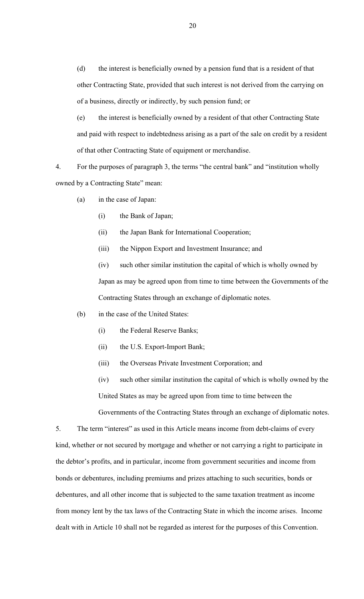(d) the interest is beneficially owned by a pension fund that is a resident of that other Contracting State, provided that such interest is not derived from the carrying on of a business, directly or indirectly, by such pension fund; or

(e) the interest is beneficially owned by a resident of that other Contracting State and paid with respect to indebtedness arising as a part of the sale on credit by a resident of that other Contracting State of equipment or merchandise.

4. For the purposes of paragraph 3, the terms "the central bank" and "institution wholly owned by a Contracting State" mean:

- (a) in the case of Japan:
	- (i) the Bank of Japan;
	- (ii) the Japan Bank for International Cooperation;
	- (iii) the Nippon Export and Investment Insurance; and
	- (iv) such other similar institution the capital of which is wholly owned by Japan as may be agreed upon from time to time between the Governments of the Contracting States through an exchange of diplomatic notes.

(b) in the case of the United States:

- (i) the Federal Reserve Banks;
- (ii) the U.S. Export-Import Bank;
- (iii) the Overseas Private Investment Corporation; and

(iv) such other similar institution the capital of which is wholly owned by the United States as may be agreed upon from time to time between the Governments of the Contracting States through an exchange of diplomatic notes.

5. The term "interest" as used in this Article means income from debt-claims of every kind, whether or not secured by mortgage and whether or not carrying a right to participate in the debtor's profits, and in particular, income from government securities and income from bonds or debentures, including premiums and prizes attaching to such securities, bonds or debentures, and all other income that is subjected to the same taxation treatment as income from money lent by the tax laws of the Contracting State in which the income arises. Income dealt with in Article 10 shall not be regarded as interest for the purposes of this Convention.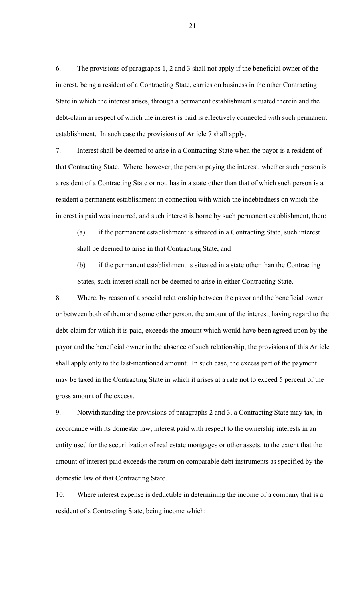6. The provisions of paragraphs 1, 2 and 3 shall not apply if the beneficial owner of the interest, being a resident of a Contracting State, carries on business in the other Contracting State in which the interest arises, through a permanent establishment situated therein and the debt-claim in respect of which the interest is paid is effectively connected with such permanent establishment. In such case the provisions of Article 7 shall apply.

7. Interest shall be deemed to arise in a Contracting State when the payor is a resident of that Contracting State. Where, however, the person paying the interest, whether such person is a resident of a Contracting State or not, has in a state other than that of which such person is a resident a permanent establishment in connection with which the indebtedness on which the interest is paid was incurred, and such interest is borne by such permanent establishment, then:

(a) if the permanent establishment is situated in a Contracting State, such interest shall be deemed to arise in that Contracting State, and

(b) if the permanent establishment is situated in a state other than the Contracting States, such interest shall not be deemed to arise in either Contracting State.

8. Where, by reason of a special relationship between the payor and the beneficial owner or between both of them and some other person, the amount of the interest, having regard to the debt-claim for which it is paid, exceeds the amount which would have been agreed upon by the payor and the beneficial owner in the absence of such relationship, the provisions of this Article shall apply only to the last-mentioned amount. In such case, the excess part of the payment may be taxed in the Contracting State in which it arises at a rate not to exceed 5 percent of the gross amount of the excess.

9. Notwithstanding the provisions of paragraphs 2 and 3, a Contracting State may tax, in accordance with its domestic law, interest paid with respect to the ownership interests in an entity used for the securitization of real estate mortgages or other assets, to the extent that the amount of interest paid exceeds the return on comparable debt instruments as specified by the domestic law of that Contracting State.

10. Where interest expense is deductible in determining the income of a company that is a resident of a Contracting State, being income which: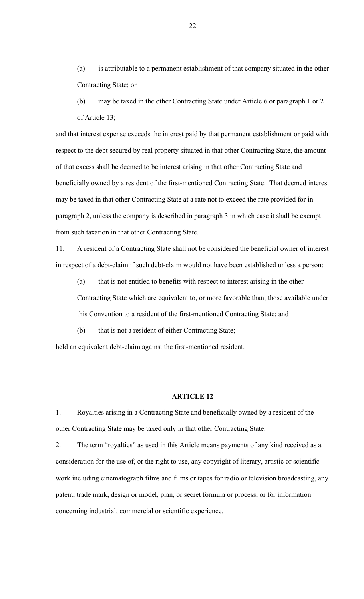- (a) is attributable to a permanent establishment of that company situated in the other Contracting State; or
- (b) may be taxed in the other Contracting State under Article 6 or paragraph 1 or 2 of Article 13;

and that interest expense exceeds the interest paid by that permanent establishment or paid with respect to the debt secured by real property situated in that other Contracting State, the amount of that excess shall be deemed to be interest arising in that other Contracting State and beneficially owned by a resident of the first-mentioned Contracting State. That deemed interest may be taxed in that other Contracting State at a rate not to exceed the rate provided for in paragraph 2, unless the company is described in paragraph 3 in which case it shall be exempt from such taxation in that other Contracting State.

11. A resident of a Contracting State shall not be considered the beneficial owner of interest in respect of a debt-claim if such debt-claim would not have been established unless a person:

(a) that is not entitled to benefits with respect to interest arising in the other Contracting State which are equivalent to, or more favorable than, those available under this Convention to a resident of the first-mentioned Contracting State; and

(b) that is not a resident of either Contracting State;

held an equivalent debt-claim against the first-mentioned resident.

#### **ARTICLE 12**

1. Royalties arising in a Contracting State and beneficially owned by a resident of the other Contracting State may be taxed only in that other Contracting State.

2. The term "royalties" as used in this Article means payments of any kind received as a consideration for the use of, or the right to use, any copyright of literary, artistic or scientific work including cinematograph films and films or tapes for radio or television broadcasting, any patent, trade mark, design or model, plan, or secret formula or process, or for information concerning industrial, commercial or scientific experience.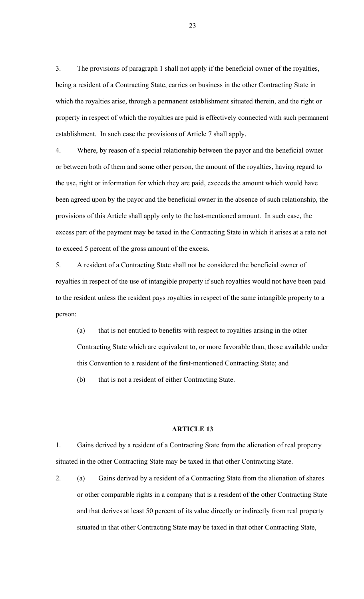3. The provisions of paragraph 1 shall not apply if the beneficial owner of the royalties, being a resident of a Contracting State, carries on business in the other Contracting State in which the royalties arise, through a permanent establishment situated therein, and the right or property in respect of which the royalties are paid is effectively connected with such permanent establishment. In such case the provisions of Article 7 shall apply.

4. Where, by reason of a special relationship between the payor and the beneficial owner or between both of them and some other person, the amount of the royalties, having regard to the use, right or information for which they are paid, exceeds the amount which would have been agreed upon by the payor and the beneficial owner in the absence of such relationship, the provisions of this Article shall apply only to the last-mentioned amount. In such case, the excess part of the payment may be taxed in the Contracting State in which it arises at a rate not to exceed 5 percent of the gross amount of the excess.

5. A resident of a Contracting State shall not be considered the beneficial owner of royalties in respect of the use of intangible property if such royalties would not have been paid to the resident unless the resident pays royalties in respect of the same intangible property to a person:

(a) that is not entitled to benefits with respect to royalties arising in the other Contracting State which are equivalent to, or more favorable than, those available under this Convention to a resident of the first-mentioned Contracting State; and

(b) that is not a resident of either Contracting State.

#### **ARTICLE 13**

1. Gains derived by a resident of a Contracting State from the alienation of real property situated in the other Contracting State may be taxed in that other Contracting State.

2. **(a)** Gains derived by a resident of a Contracting State from the alienation of shares or other comparable rights in a company that is a resident of the other Contracting State and that derives at least 50 percent of its value directly or indirectly from real property situated in that other Contracting State may be taxed in that other Contracting State,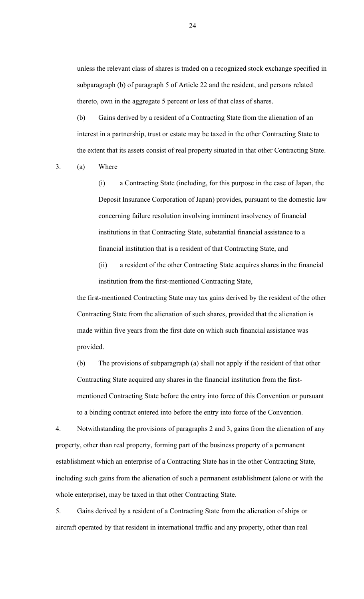unless the relevant class of shares is traded on a recognized stock exchange specified in subparagraph (b) of paragraph 5 of Article 22 and the resident, and persons related thereto, own in the aggregate 5 percent or less of that class of shares.

(b) Gains derived by a resident of a Contracting State from the alienation of an interest in a partnership, trust or estate may be taxed in the other Contracting State to the extent that its assets consist of real property situated in that other Contracting State.

3. (a) Where

(i) a Contracting State (including, for this purpose in the case of Japan, the Deposit Insurance Corporation of Japan) provides, pursuant to the domestic law concerning failure resolution involving imminent insolvency of financial institutions in that Contracting State, substantial financial assistance to a financial institution that is a resident of that Contracting State, and

(ii) a resident of the other Contracting State acquires shares in the financial institution from the first-mentioned Contracting State,

the first-mentioned Contracting State may tax gains derived by the resident of the other Contracting State from the alienation of such shares, provided that the alienation is made within five years from the first date on which such financial assistance was provided.

(b) The provisions of subparagraph (a) shall not apply if the resident of that other Contracting State acquired any shares in the financial institution from the first mentioned Contracting State before the entry into force of this Convention or pursuant to a binding contract entered into before the entry into force of the Convention.

4. Notwithstanding the provisions of paragraphs 2 and 3, gains from the alienation of any property, other than real property, forming part of the business property of a permanent establishment which an enterprise of a Contracting State has in the other Contracting State, including such gains from the alienation of such a permanent establishment (alone or with the whole enterprise), may be taxed in that other Contracting State.

5. Gains derived by a resident of a Contracting State from the alienation of ships or aircraft operated by that resident in international traffic and any property, other than real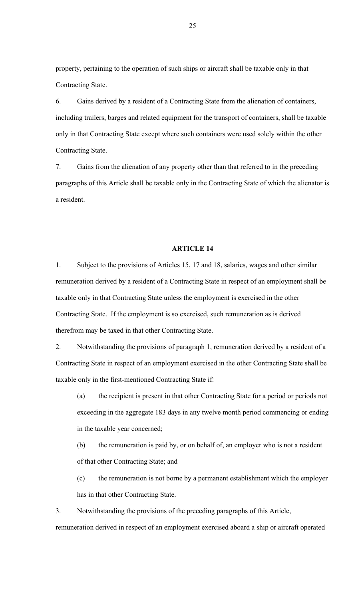property, pertaining to the operation of such ships or aircraft shall be taxable only in that Contracting State.

6. Gains derived by a resident of a Contracting State from the alienation of containers, including trailers, barges and related equipment for the transport of containers, shall be taxable only in that Contracting State except where such containers were used solely within the other Contracting State.

7. Gains from the alienation of any property other than that referred to in the preceding paragraphs of this Article shall be taxable only in the Contracting State of which the alienator is a resident.

## **ARTICLE 14**

1. Subject to the provisions of Articles 15, 17 and 18, salaries, wages and other similar remuneration derived by a resident of a Contracting State in respect of an employment shall be taxable only in that Contracting State unless the employment is exercised in the other Contracting State. If the employment is so exercised, such remuneration as is derived therefrom may be taxed in that other Contracting State.

2. Notwithstanding the provisions of paragraph 1, remuneration derived by a resident of a Contracting State in respect of an employment exercised in the other Contracting State shall be taxable only in the first-mentioned Contracting State if:

- (a) the recipient is present in that other Contracting State for a period or periods not exceeding in the aggregate 183 days in any twelve month period commencing or ending in the taxable year concerned;
- (b) the remuneration is paid by, or on behalf of, an employer who is not a resident of that other Contracting State; and
- (c) the remuneration is not borne by a permanent establishment which the employer has in that other Contracting State.

3. Notwithstanding the provisions of the preceding paragraphs of this Article, remuneration derived in respect of an employment exercised aboard a ship or aircraft operated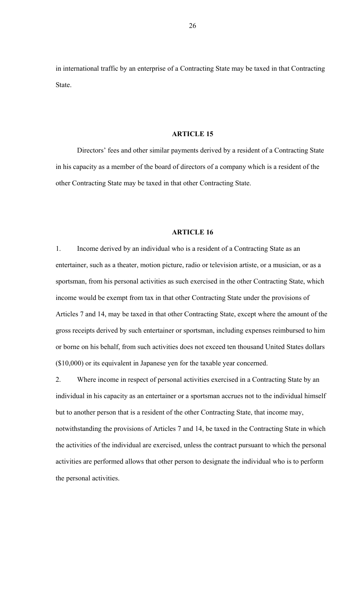in international traffic by an enterprise of a Contracting State may be taxed in that Contracting State.

#### **ARTICLE 15**

Directors' fees and other similar payments derived by a resident of a Contracting State in his capacity as a member of the board of directors of a company which is a resident of the other Contracting State may be taxed in that other Contracting State.

#### **ARTICLE 16**

1. Income derived by an individual who is a resident of a Contracting State as an entertainer, such as a theater, motion picture, radio or television artiste, or a musician, or as a sportsman, from his personal activities as such exercised in the other Contracting State, which income would be exempt from tax in that other Contracting State under the provisions of Articles 7 and 14, may be taxed in that other Contracting State, except where the amount of the gross receipts derived by such entertainer or sportsman, including expenses reimbursed to him or borne on his behalf, from such activities does not exceed ten thousand United States dollars (\$10,000) or its equivalent in Japanese yen for the taxable year concerned.

2. Where income in respect of personal activities exercised in a Contracting State by an individual in his capacity as an entertainer or a sportsman accrues not to the individual himself but to another person that is a resident of the other Contracting State, that income may, notwithstanding the provisions of Articles 7 and 14, be taxed in the Contracting State in which the activities of the individual are exercised, unless the contract pursuant to which the personal activities are performed allows that other person to designate the individual who is to perform the personal activities.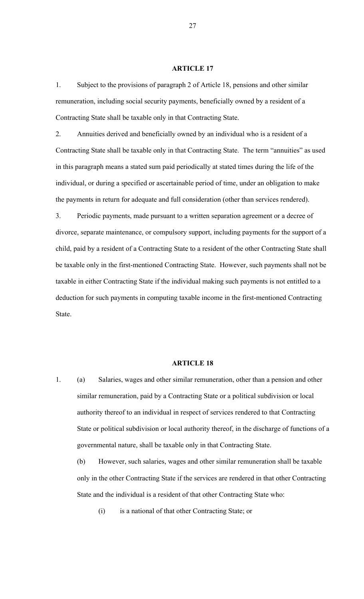### **ARTICLE 17**

1. Subject to the provisions of paragraph 2 of Article 18, pensions and other similar remuneration, including social security payments, beneficially owned by a resident of a Contracting State shall be taxable only in that Contracting State.

2. Annuities derived and beneficially owned by an individual who is a resident of a Contracting State shall be taxable only in that Contracting State. The term "annuities" as used in this paragraph means a stated sum paid periodically at stated times during the life of the individual, or during a specified or ascertainable period of time, under an obligation to make the payments in return for adequate and full consideration (other than services rendered).

3. Periodic payments, made pursuant to a written separation agreement or a decree of divorce, separate maintenance, or compulsory support, including payments for the support of a child, paid by a resident of a Contracting State to a resident of the other Contracting State shall be taxable only in the first-mentioned Contracting State. However, such payments shall not be taxable in either Contracting State if the individual making such payments is not entitled to a deduction for such payments in computing taxable income in the first-mentioned Contracting State.

#### **ARTICLE 18**

1. **(a)** Salaries, wages and other similar remuneration, other than a pension and other similar remuneration, paid by a Contracting State or a political subdivision or local authority thereof to an individual in respect of services rendered to that Contracting State or political subdivision or local authority thereof, in the discharge of functions of a governmental nature, shall be taxable only in that Contracting State.

(b) However, such salaries, wages and other similar remuneration shall be taxable only in the other Contracting State if the services are rendered in that other Contracting State and the individual is a resident of that other Contracting State who:

(i) is a national of that other Contracting State; or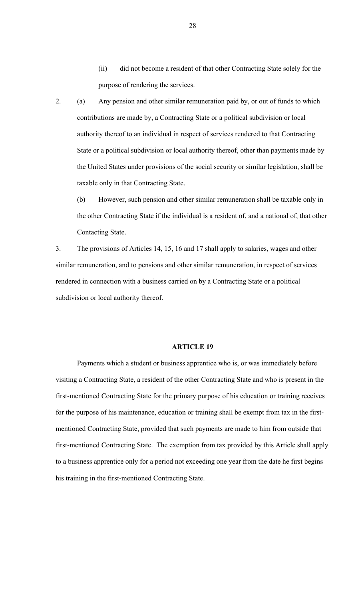(ii) did not become a resident of that other Contracting State solely for the purpose of rendering the services.

2. (a) Any pension and other similar remuneration paid by, or out of funds to which contributions are made by, a Contracting State or a political subdivision or local authority thereof to an individual in respect of services rendered to that Contracting State or a political subdivision or local authority thereof, other than payments made by the United States under provisions of the social security or similar legislation, shall be taxable only in that Contracting State.

(b) However, such pension and other similar remuneration shall be taxable only in the other Contracting State if the individual is a resident of, and a national of, that other Contacting State.

3. The provisions of Articles 14, 15, 16 and 17 shall apply to salaries, wages and other similar remuneration, and to pensions and other similar remuneration, in respect of services rendered in connection with a business carried on by a Contracting State or a political subdivision or local authority thereof.

#### **ARTICLE 19**

Payments which a student or business apprentice who is, or was immediately before visiting a Contracting State, a resident of the other Contracting State and who is present in the first-mentioned Contracting State for the primary purpose of his education or training receives for the purpose of his maintenance, education or training shall be exempt from tax in the firstmentioned Contracting State, provided that such payments are made to him from outside that first-mentioned Contracting State. The exemption from tax provided by this Article shall apply to a business apprentice only for a period not exceeding one year from the date he first begins his training in the first-mentioned Contracting State.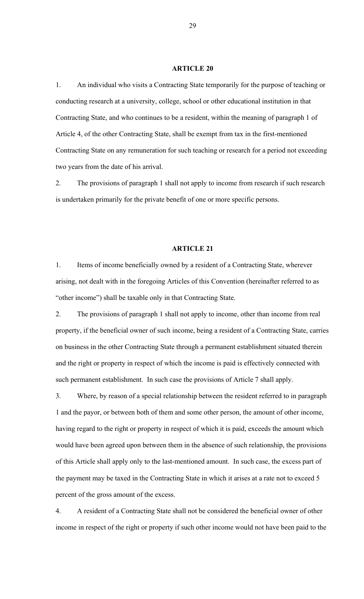### **ARTICLE 20**

1. An individual who visits a Contracting State temporarily for the purpose of teaching or conducting research at a university, college, school or other educational institution in that Contracting State, and who continues to be a resident, within the meaning of paragraph 1 of Article 4, of the other Contracting State, shall be exempt from tax in the first-mentioned Contracting State on any remuneration for such teaching or research for a period not exceeding two years from the date of his arrival.

2. The provisions of paragraph 1 shall not apply to income from research if such research is undertaken primarily for the private benefit of one or more specific persons.

## **ARTICLE 21**

1. Items of income beneficially owned by a resident of a Contracting State, wherever arising, not dealt with in the foregoing Articles of this Convention (hereinafter referred to as "other income") shall be taxable only in that Contracting State.

2. The provisions of paragraph 1 shall not apply to income, other than income from real property, if the beneficial owner of such income, being a resident of a Contracting State, carries on business in the other Contracting State through a permanent establishment situated therein and the right or property in respect of which the income is paid is effectively connected with such permanent establishment. In such case the provisions of Article 7 shall apply.

3. Where, by reason of a special relationship between the resident referred to in paragraph 1 and the payor, or between both of them and some other person, the amount of other income, having regard to the right or property in respect of which it is paid, exceeds the amount which would have been agreed upon between them in the absence of such relationship, the provisions of this Article shall apply only to the last-mentioned amount. In such case, the excess part of the payment may be taxed in the Contracting State in which it arises at a rate not to exceed 5 percent of the gross amount of the excess.

4. A resident of a Contracting State shall not be considered the beneficial owner of other income in respect of the right or property if such other income would not have been paid to the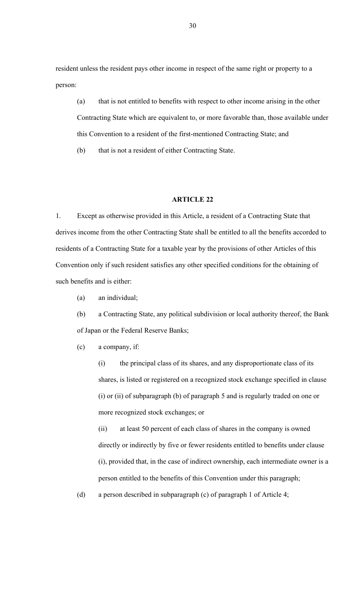resident unless the resident pays other income in respect of the same right or property to a person:

(a) that is not entitled to benefits with respect to other income arising in the other Contracting State which are equivalent to, or more favorable than, those available under this Convention to a resident of the first-mentioned Contracting State; and

(b) that is not a resident of either Contracting State.

### **ARTICLE 22**

1. Except as otherwise provided in this Article, a resident of a Contracting State that derives income from the other Contracting State shall be entitled to all the benefits accorded to residents of a Contracting State for a taxable year by the provisions of other Articles of this Convention only if such resident satisfies any other specified conditions for the obtaining of such benefits and is either:

(a) an individual;

(b) a Contracting State, any political subdivision or local authority thereof, the Bank of Japan or the Federal Reserve Banks;

(c) a company, if:

(i) the principal class of its shares, and any disproportionate class of its shares, is listed or registered on a recognized stock exchange specified in clause (i) or (ii) of subparagraph (b) of paragraph 5 and is regularly traded on one or more recognized stock exchanges; or

(ii) at least 50 percent of each class of shares in the company is owned directly or indirectly by five or fewer residents entitled to benefits under clause (i), provided that, in the case of indirect ownership, each intermediate owner is a person entitled to the benefits of this Convention under this paragraph;

(d) a person described in subparagraph (c) of paragraph 1 of Article 4;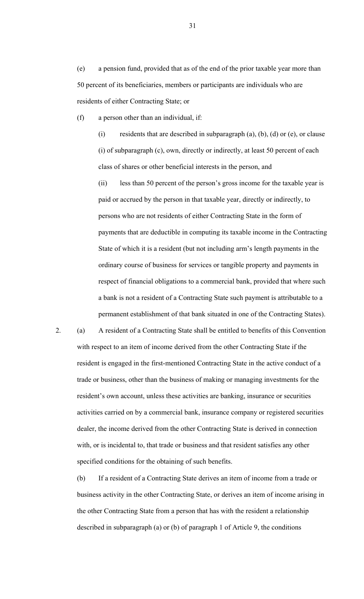(e) a pension fund, provided that as of the end of the prior taxable year more than 50 percent of its beneficiaries, members or participants are individuals who are residents of either Contracting State; or

(f) a person other than an individual, if:

(i) residents that are described in subparagraph (a), (b), (d) or (e), or clause (i) of subparagraph (c), own, directly or indirectly, at least 50 percent of each class of shares or other beneficial interests in the person, and

(ii) less than 50 percent of the person's gross income for the taxable year is paid or accrued by the person in that taxable year, directly or indirectly, to persons who are not residents of either Contracting State in the form of payments that are deductible in computing its taxable income in the Contracting State of which it is a resident (but not including arm's length payments in the ordinary course of business for services or tangible property and payments in respect of financial obligations to a commercial bank, provided that where such a bank is not a resident of a Contracting State such payment is attributable to a permanent establishment of that bank situated in one of the Contracting States).

2. (a) A resident of a Contracting State shall be entitled to benefits of this Convention with respect to an item of income derived from the other Contracting State if the resident is engaged in the first-mentioned Contracting State in the active conduct of a trade or business, other than the business of making or managing investments for the resident's own account, unless these activities are banking, insurance or securities activities carried on by a commercial bank, insurance company or registered securities dealer, the income derived from the other Contracting State is derived in connection with, or is incidental to, that trade or business and that resident satisfies any other specified conditions for the obtaining of such benefits.

(b) If a resident of a Contracting State derives an item of income from a trade or business activity in the other Contracting State, or derives an item of income arising in the other Contracting State from a person that has with the resident a relationship described in subparagraph (a) or (b) of paragraph 1 of Article 9, the conditions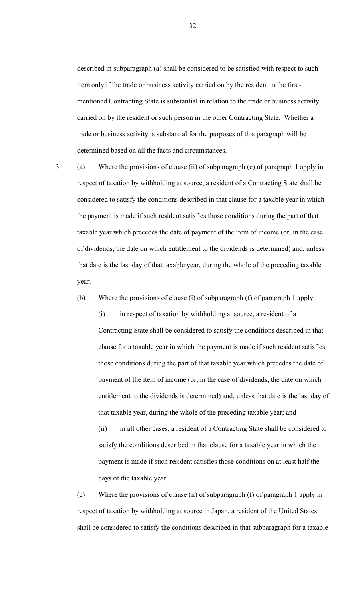described in subparagraph (a) shall be considered to be satisfied with respect to such item only if the trade or business activity carried on by the resident in the firstmentioned Contracting State is substantial in relation to the trade or business activity carried on by the resident or such person in the other Contracting State. Whether a trade or business activity is substantial for the purposes of this paragraph will be determined based on all the facts and circumstances.

3. (a) Where the provisions of clause (ii) of subparagraph (c) of paragraph 1 apply in respect of taxation by withholding at source, a resident of a Contracting State shall be considered to satisfy the conditions described in that clause for a taxable year in which the payment is made if such resident satisfies those conditions during the part of that taxable year which precedes the date of payment of the item of income (or, in the case of dividends, the date on which entitlement to the dividends is determined) and, unless that date is the last day of that taxable year, during the whole of the preceding taxable year.

(b) Where the provisions of clause (i) of subparagraph (f) of paragraph 1 apply:

(i) in respect of taxation by withholding at source, a resident of a Contracting State shall be considered to satisfy the conditions described in that clause for a taxable year in which the payment is made if such resident satisfies those conditions during the part of that taxable year which precedes the date of payment of the item of income (or, in the case of dividends, the date on which entitlement to the dividends is determined) and, unless that date is the last day of that taxable year, during the whole of the preceding taxable year; and

(ii) in all other cases, a resident of a Contracting State shall be considered to satisfy the conditions described in that clause for a taxable year in which the payment is made if such resident satisfies those conditions on at least half the days of the taxable year.

(c) Where the provisions of clause (ii) of subparagraph (f) of paragraph 1 apply in respect of taxation by withholding at source in Japan, a resident of the United States shall be considered to satisfy the conditions described in that subparagraph for a taxable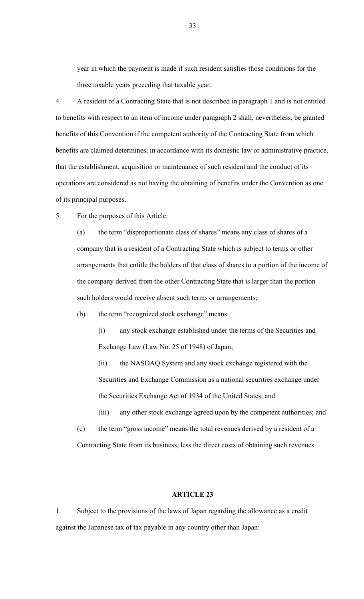year in which the payment is made if such resident satisfies those conditions for the three taxable years preceding that taxable year.

4. A resident of a Contracting State that is not described in paragraph 1 and is not entitled to benefits with respect to an item of income under paragraph 2 shall, nevertheless, be granted benefits of this Convention if the competent authority of the Contracting State from which benefits are claimed determines, in accordance with its domestic law or administrative practice, that the establishment, acquisition or maintenance of such resident and the conduct of its operations are considered as not having the obtaining of benefits under the Convention as one of its principal purposes.

5. For the purposes of this Article:

(a) the term "disproportionate class of shares" means any class of shares of a company that is a resident of a Contracting State which is subject to terms or other arrangements that entitle the holders of that class of shares to a portion of the income of the company derived from the other Contracting State that is larger than the portion such holders would receive absent such terms or arrangements;

(b) the term "recognized stock exchange" means:

(i) any stock exchange established under the terms of the Securities and Exchange Law (Law No. 25 of 1948) of Japan;

(ii) the NASDAQ System and any stock exchange registered with the Securities and Exchange Commission as a national securities exchange under the Securities Exchange Act of 1934 of the United States; and

(iii) any other stock exchange agreed upon by the competent authorities; and (c) the term "gross income" means the total revenues derived by a resident of a Contracting State from its business, less the direct costs of obtaining such revenues.

#### **ARTICLE 23**

1. Subject to the provisions of the laws of Japan regarding the allowance as a credit against the Japanese tax of tax payable in any country other than Japan: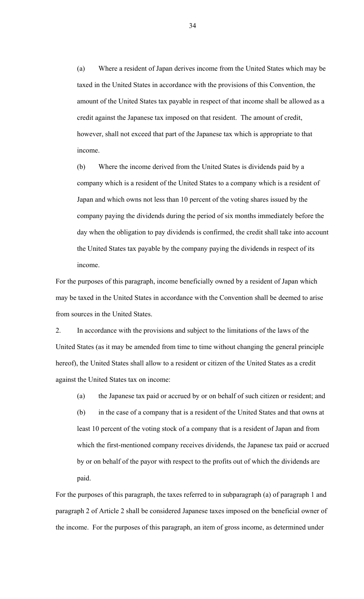(a) Where a resident of Japan derives income from the United States which may be taxed in the United States in accordance with the provisions of this Convention, the amount of the United States tax payable in respect of that income shall be allowed as a credit against the Japanese tax imposed on that resident. The amount of credit, however, shall not exceed that part of the Japanese tax which is appropriate to that income.

(b) Where the income derived from the United States is dividends paid by a company which is a resident of the United States to a company which is a resident of Japan and which owns not less than 10 percent of the voting shares issued by the company paying the dividends during the period of six months immediately before the day when the obligation to pay dividends is confirmed, the credit shall take into account the United States tax payable by the company paying the dividends in respect of its income.

For the purposes of this paragraph, income beneficially owned by a resident of Japan which may be taxed in the United States in accordance with the Convention shall be deemed to arise from sources in the United States.

2. In accordance with the provisions and subject to the limitations of the laws of the United States (as it may be amended from time to time without changing the general principle hereof), the United States shall allow to a resident or citizen of the United States as a credit against the United States tax on income:

(a) the Japanese tax paid or accrued by or on behalf of such citizen or resident; and

(b) in the case of a company that is a resident of the United States and that owns at least 10 percent of the voting stock of a company that is a resident of Japan and from which the first-mentioned company receives dividends, the Japanese tax paid or accrued by or on behalf of the payor with respect to the profits out of which the dividends are paid.

For the purposes of this paragraph, the taxes referred to in subparagraph (a) of paragraph 1 and paragraph 2 of Article 2 shall be considered Japanese taxes imposed on the beneficial owner of the income. For the purposes of this paragraph, an item of gross income, as determined under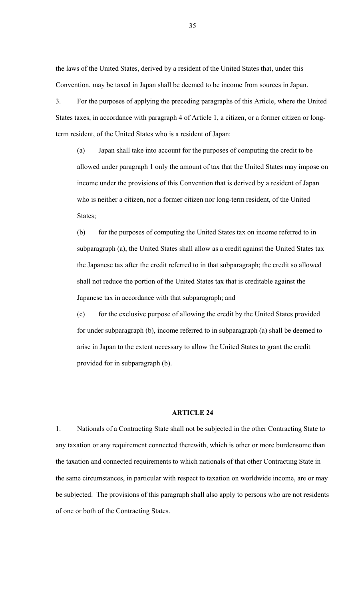the laws of the United States, derived by a resident of the United States that, under this Convention, may be taxed in Japan shall be deemed to be income from sources in Japan.

3. For the purposes of applying the preceding paragraphs of this Article, where the United States taxes, in accordance with paragraph 4 of Article 1, a citizen, or a former citizen or longterm resident, of the United States who is a resident of Japan:

(a) Japan shall take into account for the purposes of computing the credit to be allowed under paragraph 1 only the amount of tax that the United States may impose on income under the provisions of this Convention that is derived by a resident of Japan who is neither a citizen, nor a former citizen nor long-term resident, of the United States;

(b) for the purposes of computing the United States tax on income referred to in subparagraph (a), the United States shall allow as a credit against the United States tax the Japanese tax after the credit referred to in that subparagraph; the credit so allowed shall not reduce the portion of the United States tax that is creditable against the Japanese tax in accordance with that subparagraph; and

(c) for the exclusive purpose of allowing the credit by the United States provided for under subparagraph (b), income referred to in subparagraph (a) shall be deemed to arise in Japan to the extent necessary to allow the United States to grant the credit provided for in subparagraph (b).

### **ARTICLE 24**

1. Nationals of a Contracting State shall not be subjected in the other Contracting State to any taxation or any requirement connected therewith, which is other or more burdensome than the taxation and connected requirements to which nationals of that other Contracting State in the same circumstances, in particular with respect to taxation on worldwide income, are or may be subjected. The provisions of this paragraph shall also apply to persons who are not residents of one or both of the Contracting States.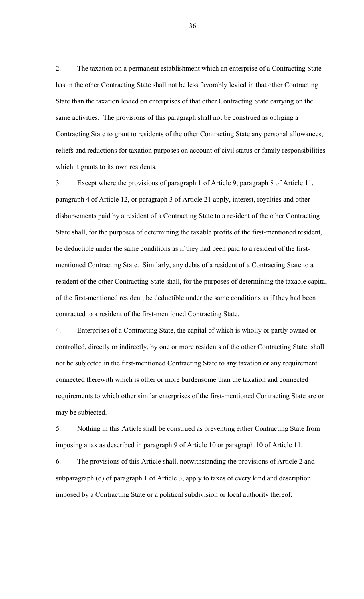2. The taxation on a permanent establishment which an enterprise of a Contracting State has in the other Contracting State shall not be less favorably levied in that other Contracting State than the taxation levied on enterprises of that other Contracting State carrying on the same activities. The provisions of this paragraph shall not be construed as obliging a Contracting State to grant to residents of the other Contracting State any personal allowances, reliefs and reductions for taxation purposes on account of civil status or family responsibilities which it grants to its own residents.

3. Except where the provisions of paragraph 1 of Article 9, paragraph 8 of Article 11, paragraph 4 of Article 12, or paragraph 3 of Article 21 apply, interest, royalties and other disbursements paid by a resident of a Contracting State to a resident of the other Contracting State shall, for the purposes of determining the taxable profits of the first-mentioned resident, be deductible under the same conditions as if they had been paid to a resident of the firstmentioned Contracting State. Similarly, any debts of a resident of a Contracting State to a resident of the other Contracting State shall, for the purposes of determining the taxable capital of the first-mentioned resident, be deductible under the same conditions as if they had been contracted to a resident of the first-mentioned Contracting State.

4. Enterprises of a Contracting State, the capital of which is wholly or partly owned or controlled, directly or indirectly, by one or more residents of the other Contracting State, shall not be subjected in the first-mentioned Contracting State to any taxation or any requirement connected therewith which is other or more burdensome than the taxation and connected requirements to which other similar enterprises of the first-mentioned Contracting State are or may be subjected.

5. Nothing in this Article shall be construed as preventing either Contracting State from imposing a tax as described in paragraph 9 of Article 10 or paragraph 10 of Article 11.

6. The provisions of this Article shall, notwithstanding the provisions of Article 2 and subparagraph (d) of paragraph 1 of Article 3, apply to taxes of every kind and description imposed by a Contracting State or a political subdivision or local authority thereof.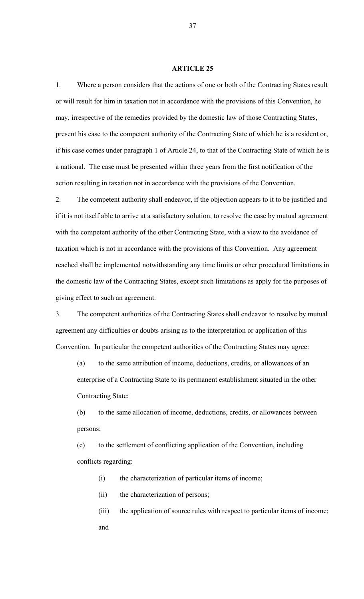### **ARTICLE 25**

1. Where a person considers that the actions of one or both of the Contracting States result or will result for him in taxation not in accordance with the provisions of this Convention, he may, irrespective of the remedies provided by the domestic law of those Contracting States, present his case to the competent authority of the Contracting State of which he is a resident or, if his case comes under paragraph 1 of Article 24, to that of the Contracting State of which he is a national. The case must be presented within three years from the first notification of the action resulting in taxation not in accordance with the provisions of the Convention.

2. The competent authority shall endeavor, if the objection appears to it to be justified and if it is not itself able to arrive at a satisfactory solution, to resolve the case by mutual agreement with the competent authority of the other Contracting State, with a view to the avoidance of taxation which is not in accordance with the provisions of this Convention. Any agreement reached shall be implemented notwithstanding any time limits or other procedural limitations in the domestic law of the Contracting States, except such limitations as apply for the purposes of giving effect to such an agreement.

3. The competent authorities of the Contracting States shall endeavor to resolve by mutual agreement any difficulties or doubts arising as to the interpretation or application of this Convention. In particular the competent authorities of the Contracting States may agree:

(a) to the same attribution of income, deductions, credits, or allowances of an enterprise of a Contracting State to its permanent establishment situated in the other Contracting State;

(b) to the same allocation of income, deductions, credits, or allowances between persons;

(c) to the settlement of conflicting application of the Convention, including conflicts regarding:

(i) the characterization of particular items of income;

(ii) the characterization of persons;

(iii) the application of source rules with respect to particular items of income; and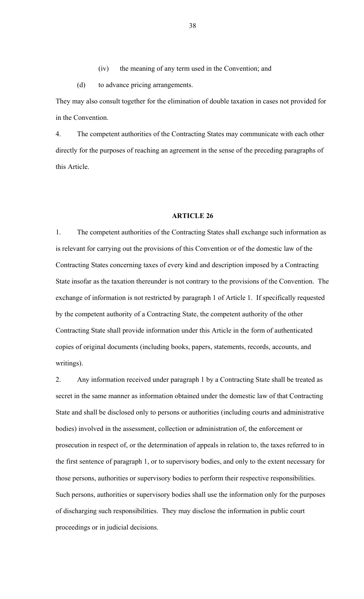- (iv) the meaning of any term used in the Convention; and
- (d) to advance pricing arrangements.

They may also consult together for the elimination of double taxation in cases not provided for in the Convention.

4. The competent authorities of the Contracting States may communicate with each other directly for the purposes of reaching an agreement in the sense of the preceding paragraphs of this Article.

#### **ARTICLE 26**

1. The competent authorities of the Contracting States shall exchange such information as is relevant for carrying out the provisions of this Convention or of the domestic law of the Contracting States concerning taxes of every kind and description imposed by a Contracting State insofar as the taxation thereunder is not contrary to the provisions of the Convention. The exchange of information is not restricted by paragraph 1 of Article 1. If specifically requested by the competent authority of a Contracting State, the competent authority of the other Contracting State shall provide information under this Article in the form of authenticated copies of original documents (including books, papers, statements, records, accounts, and writings).

2. Any information received under paragraph 1 by a Contracting State shall be treated as secret in the same manner as information obtained under the domestic law of that Contracting State and shall be disclosed only to persons or authorities (including courts and administrative bodies) involved in the assessment, collection or administration of, the enforcement or prosecution in respect of, or the determination of appeals in relation to, the taxes referred to in the first sentence of paragraph 1, or to supervisory bodies, and only to the extent necessary for those persons, authorities or supervisory bodies to perform their respective responsibilities. Such persons, authorities or supervisory bodies shall use the information only for the purposes of discharging such responsibilities. They may disclose the information in public court proceedings or in judicial decisions.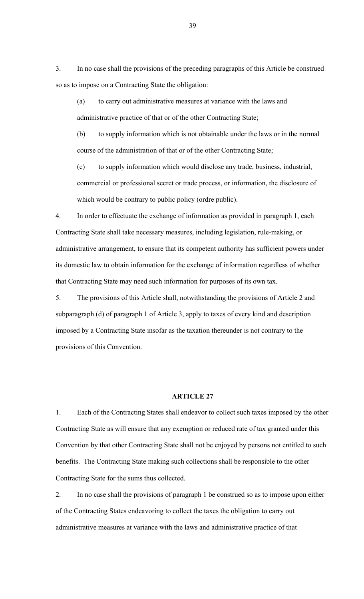3. In no case shall the provisions of the preceding paragraphs of this Article be construed so as to impose on a Contracting State the obligation:

(a) to carry out administrative measures at variance with the laws and administrative practice of that or of the other Contracting State;

(b) to supply information which is not obtainable under the laws or in the normal course of the administration of that or of the other Contracting State;

(c) to supply information which would disclose any trade, business, industrial, commercial or professional secret or trade process, or information, the disclosure of which would be contrary to public policy (ordre public).

4. In order to effectuate the exchange of information as provided in paragraph 1, each Contracting State shall take necessary measures, including legislation, rule-making, or administrative arrangement, to ensure that its competent authority has sufficient powers under its domestic law to obtain information for the exchange of information regardless of whether that Contracting State may need such information for purposes of its own tax.

5. The provisions of this Article shall, notwithstanding the provisions of Article 2 and subparagraph (d) of paragraph 1 of Article 3, apply to taxes of every kind and description imposed by a Contracting State insofar as the taxation thereunder is not contrary to the provisions of this Convention.

#### **ARTICLE 27**

1. Each of the Contracting States shall endeavor to collect such taxes imposed by the other Contracting State as will ensure that any exemption or reduced rate of tax granted under this Convention by that other Contracting State shall not be enjoyed by persons not entitled to such benefits. The Contracting State making such collections shall be responsible to the other Contracting State for the sums thus collected.

2. In no case shall the provisions of paragraph 1 be construed so as to impose upon either of the Contracting States endeavoring to collect the taxes the obligation to carry out administrative measures at variance with the laws and administrative practice of that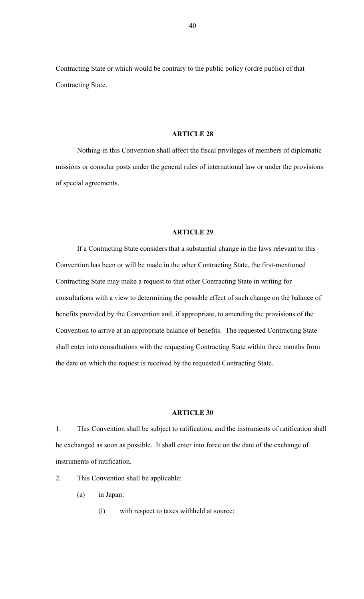Contracting State or which would be contrary to the public policy (ordre public) of that Contracting State.

#### **ARTICLE 28**

Nothing in this Convention shall affect the fiscal privileges of members of diplomatic missions or consular posts under the general rules of international law or under the provisions of special agreements.

#### **ARTICLE 29**

If a Contracting State considers that a substantial change in the laws relevant to this Convention has been or will be made in the other Contracting State, the first-mentioned Contracting State may make a request to that other Contracting State in writing for consultations with a view to determining the possible effect of such change on the balance of benefits provided by the Convention and, if appropriate, to amending the provisions of the Convention to arrive at an appropriate balance of benefits. The requested Contracting State shall enter into consultations with the requesting Contracting State within three months from the date on which the request is received by the requested Contracting State.

## **ARTICLE 30**

1. This Convention shall be subject to ratification, and the instruments of ratification shall be exchanged as soon as possible. It shall enter into force on the date of the exchange of instruments of ratification.

2. This Convention shall be applicable:

- (a) in Japan:
	- (i) with respect to taxes withheld at source: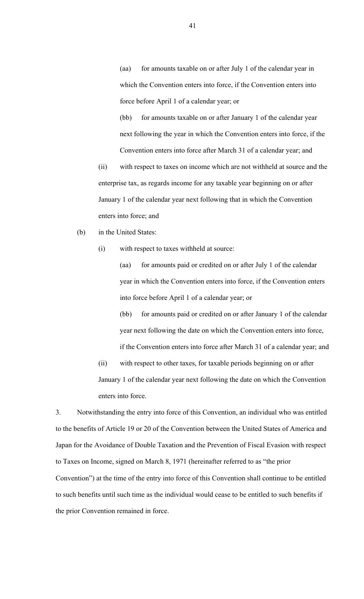(aa) for amounts taxable on or after July 1 of the calendar year in which the Convention enters into force, if the Convention enters into force before April 1 of a calendar year; or

(bb) for amounts taxable on or after January 1 of the calendar year next following the year in which the Convention enters into force, if the Convention enters into force after March 31 of a calendar year; and

(ii) with respect to taxes on income which are not withheld at source and the enterprise tax, as regards income for any taxable year beginning on or after January 1 of the calendar year next following that in which the Convention enters into force; and

(b) in the United States:

(i) with respect to taxes withheld at source:

(aa) for amounts paid or credited on or after July 1 of the calendar year in which the Convention enters into force, if the Convention enters into force before April 1 of a calendar year; or

(bb) for amounts paid or credited on or after January 1 of the calendar year next following the date on which the Convention enters into force, if the Convention enters into force after March 31 of a calendar year; and

(ii) with respect to other taxes, for taxable periods beginning on or after January 1 of the calendar year next following the date on which the Convention enters into force.

3. Notwithstanding the entry into force of this Convention, an individual who was entitled to the benefits of Article 19 or 20 of the Convention between the United States of America and Japan for the Avoidance of Double Taxation and the Prevention of Fiscal Evasion with respect to Taxes on Income, signed on March 8, 1971 (hereinafter referred to as "the prior Convention") at the time of the entry into force of this Convention shall continue to be entitled to such benefits until such time as the individual would cease to be entitled to such benefits if the prior Convention remained in force.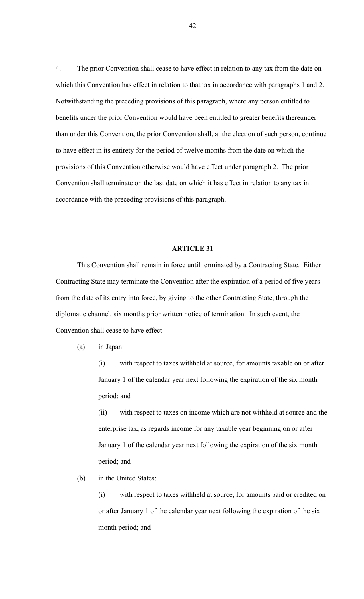4. The prior Convention shall cease to have effect in relation to any tax from the date on which this Convention has effect in relation to that tax in accordance with paragraphs 1 and 2. Notwithstanding the preceding provisions of this paragraph, where any person entitled to benefits under the prior Convention would have been entitled to greater benefits thereunder than under this Convention, the prior Convention shall, at the election of such person, continue to have effect in its entirety for the period of twelve months from the date on which the provisions of this Convention otherwise would have effect under paragraph 2. The prior Convention shall terminate on the last date on which it has effect in relation to any tax in accordance with the preceding provisions of this paragraph.

## **ARTICLE 31**

This Convention shall remain in force until terminated by a Contracting State. Either Contracting State may terminate the Convention after the expiration of a period of five years from the date of its entry into force, by giving to the other Contracting State, through the diplomatic channel, six months prior written notice of termination. In such event, the Convention shall cease to have effect:

(a) in Japan:

(i) with respect to taxes withheld at source, for amounts taxable on or after January 1 of the calendar year next following the expiration of the six month period; and

(ii) with respect to taxes on income which are not withheld at source and the enterprise tax, as regards income for any taxable year beginning on or after January 1 of the calendar year next following the expiration of the six month period; and

(b) in the United States:

(i) with respect to taxes withheld at source, for amounts paid or credited on or after January 1 of the calendar year next following the expiration of the six month period; and